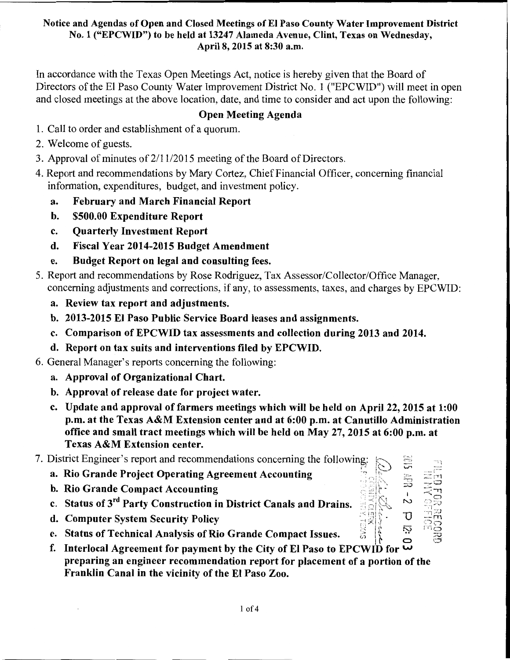In accordance with the Texas Open Meetings Act, notice is hereby given that the Board of Directors of the El Paso County Water Improvement District No. 1 ("EPCWID") will meet in open and closed meetings at the above location, date, and time to consider and act upon the following:

## Open Meeting Agenda

- 1. Call to order and establishment of a quorum.
- 2. Welcome of guests.
- 3. Approval of minutes of 2/11/2015 meeting of the Board of Directors.
- 4. Report and recommendations by Mary Cortez, Chief Financial Officer, concerning financial information, expenditures, budget, and investment policy.
	- a. February and March Financial Report
	- b. \$500.00 Expenditure Report
	- c. Quarterly Investment Report
	- d. Fiscal Year 2014-2015 Budget Amendment
	- e. Budget Report on legal and consulting fees.
- 5. Report and recommendations by Rose Rodriguez, Tax Assessor/Collector/Office Manager, concerning adjustments and corrections, if any, to assessments, taxes, and charges by EPCWID:
	- a. Review tax report and adjustments.
	- b. 2013-2015 El Paso Public Service Board leases and assignments.
	- c. Comparison of EPCWID tax assessments and collection during 2013 and 2014.
	- d. Report on tax suits and interventions filed by EPCWID.
- 6. General Manager's reports concerning the following:
	- a. Approval of Organizational Chart.
	- b. Approval of release date for project water.
	- c. Update and approval of farmers meetings which will be held on April 22, 2015 at 1:00 p.m. at the Texas A&M Extension center and at 6:00 p.m. at Canutillo Administration office and small tract meetings which will be held on May 27, 2015 at 6:00 p.m. at Texas A&M Extension center.
- 7. District Engineer's report and recommendations concerning the following:  $\approx$ 
	-
	- b. Rio Grande Compact Accounting
	- a. Rio Grande Project Operating Agreement Accounting<br>
	b. Rio Grande Compact Accounting<br>
	c. Status of 3<sup>rd</sup> Party Construction in District Canals and Drains.<br>
	d. Computer System Security Policy<br>
	e. Status of Technical Anal c. Status of 3<sup>rd</sup> Party Construction in District Canals and Drains.
	- d. Computer System Security Policy **in the security Policy** in the second state  $\mathbb{S}\otimes\mathbb{S}$  **· U**
	- e. Status of Technical Analysis of Rio Grande Compact Issues.
	- f. Interlocal Agreement for payment by the City of El Paso to EPCWID for preparing an engineer recommendation report for placement of a portion of the Franklin Canal in the vicinity of the El Paso Zoo.

 $\mathbf{z}$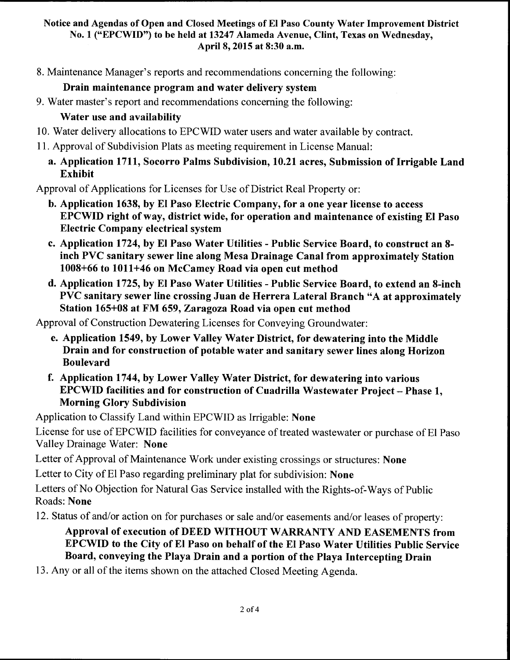8. Maintenance Manager's reports and recommendations concerning the following:

# Drain maintenance program and water delivery system

9. Water master's report and recommendations concerning the following:

# Water use and availability

- 10. Water delivery allocations to EPCWID water users and water available by contract.
- 11. Approval of Subdivision Plats as meeting requirement in License Manual:
	- a. Application 1711, Socorro Palms Subdivision, 10.21 acres, Submission of Irrigable Land Exhibit

Approval of Applications for Licenses for Use of District Real Property or:

- b. Application 1638, by El Paso Electric Company, for a one year license to access EPCWID right of way, district wide, for operation and maintenance of existing El Paso Electric Company electrical system
- c. Application 1724, by El Paso Water Utilities Public Service Board, to construct an 8 inch PVC sanitary sewer line along Mesa Drainage Canal from approximately Station 1008+66 to 1011+46 on McCamey Road via open cut method
- d. Application 1725, by El Paso Water Utilities Public Service Board, to extend an 8-inch PVC sanitary sewer line crossing Juan de Herrera Lateral Branch "A at approximately Station 165+08 at FM 659, Zaragoza Road via open cut method

Approval of Construction Dewatering Licenses for Conveying Groundwater:

- e. Application 1549, by Lower Valley Water District, for dewatering into the Middle Drain and for construction of potable water and sanitary sewer lines along Horizon Boulevard
- f. Application 1744, by Lower Valley Water District, for dewatering into various EPCWID facilities and for construction of Cuadrilla Wastewater Project - Phase 1, Morning Glory Subdivision

Application to Classify Land within EPCWID as Irrigable: None

License for use of EPCWID facilities for conveyance of treated wastewater or purchase of El Paso Valley Drainage Water: None

Letter of Approval of Maintenance Work under existing crossings or structures: None

Letter to City of El Paso regarding preliminary plat for subdivision: None

Letters of No Objection for Natural Gas Service installed with the Rights-of-Ways of Public Roads: None

12. Status of and/or action on for purchases or sale and/or easements and/or leases of property:

# Approval of execution of DEED WITHOUT WARRANTY AND EASEMENTS from EPCWID to the City of El Paso on behalf of the El Paso Water Utilities Public Service Board, conveying the Playa Drain and a portion of the Playa Intercepting Drain

13. Any or all of the items shown on the attached Closed Meeting Agenda.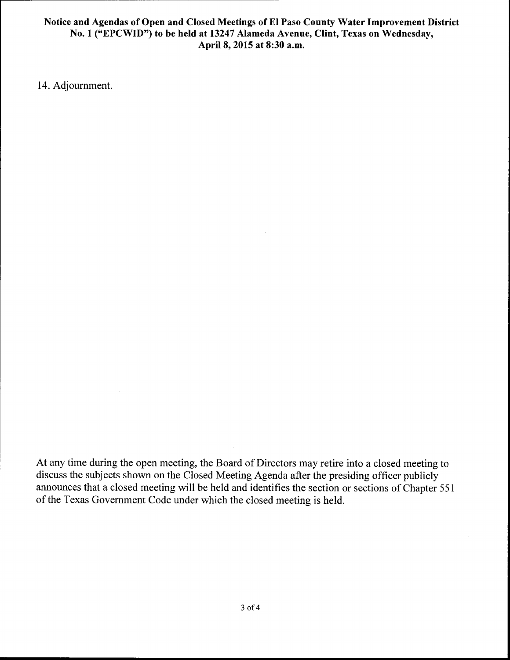14. Adjournment.

At any time during the open meeting, the Board of Directors may retire into a closed meeting to discuss the subjects shown on the Closed Meeting Agenda after the presiding officer publicly announces that a closed meeting will be held and identifies the section or sections of Chapter 551 of the Texas Government Code under which the closed meeting is held.